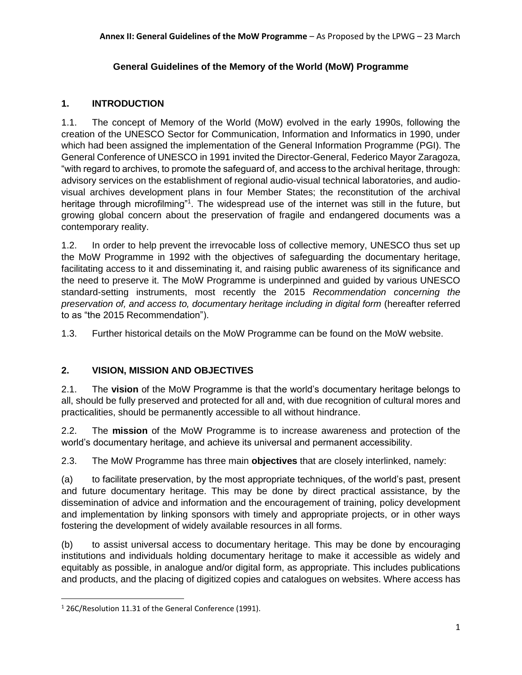## **General Guidelines of the Memory of the World (MoW) Programme**

# **1. INTRODUCTION**

1.1. The concept of Memory of the World (MoW) evolved in the early 1990s, following the creation of the UNESCO Sector for Communication, Information and Informatics in 1990, under which had been assigned the implementation of the General Information Programme (PGI). The General Conference of UNESCO in 1991 invited the Director-General, Federico Mayor Zaragoza, "with regard to archives, to promote the safeguard of, and access to the archival heritage, through: advisory services on the establishment of regional audio-visual technical laboratories, and audiovisual archives development plans in four Member States; the reconstitution of the archival heritage through microfilming"<sup>1</sup>. The widespread use of the internet was still in the future, but growing global concern about the preservation of fragile and endangered documents was a contemporary reality.

1.2. In order to help prevent the irrevocable loss of collective memory, UNESCO thus set up the MoW Programme in 1992 with the objectives of safeguarding the documentary heritage, facilitating access to it and disseminating it, and raising public awareness of its significance and the need to preserve it. The MoW Programme is underpinned and guided by various UNESCO standard-setting instruments, most recently the 2015 *Recommendation concerning the preservation of, and access to, documentary heritage including in digital form* (hereafter referred to as "the 2015 Recommendation").

1.3. Further historical details on the MoW Programme can be found on the MoW website.

# **2. VISION, MISSION AND OBJECTIVES**

2.1. The **vision** of the MoW Programme is that the world's documentary heritage belongs to all, should be fully preserved and protected for all and, with due recognition of cultural mores and practicalities, should be permanently accessible to all without hindrance.

2.2. The **mission** of the MoW Programme is to increase awareness and protection of the world's documentary heritage, and achieve its universal and permanent accessibility.

2.3. The MoW Programme has three main **objectives** that are closely interlinked, namely:

(a) to facilitate preservation, by the most appropriate techniques, of the world's past, present and future documentary heritage. This may be done by direct practical assistance, by the dissemination of advice and information and the encouragement of training, policy development and implementation by linking sponsors with timely and appropriate projects, or in other ways fostering the development of widely available resources in all forms.

(b) to assist universal access to documentary heritage. This may be done by encouraging institutions and individuals holding documentary heritage to make it accessible as widely and equitably as possible, in analogue and/or digital form, as appropriate. This includes publications and products, and the placing of digitized copies and catalogues on websites. Where access has

<sup>1</sup> 26C/Resolution 11.31 of the General Conference (1991).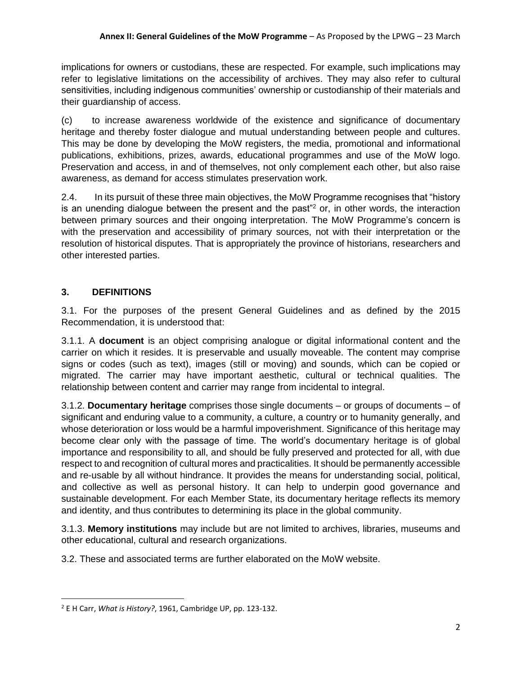implications for owners or custodians, these are respected. For example, such implications may refer to legislative limitations on the accessibility of archives. They may also refer to cultural sensitivities, including indigenous communities' ownership or custodianship of their materials and their guardianship of access.

(c) to increase awareness worldwide of the existence and significance of documentary heritage and thereby foster dialogue and mutual understanding between people and cultures. This may be done by developing the MoW registers, the media, promotional and informational publications, exhibitions, prizes, awards, educational programmes and use of the MoW logo. Preservation and access, in and of themselves, not only complement each other, but also raise awareness, as demand for access stimulates preservation work.

2.4. In its pursuit of these three main objectives, the MoW Programme recognises that "history is an unending dialogue between the present and the past<sup> $n$ </sup> or, in other words, the interaction between primary sources and their ongoing interpretation. The MoW Programme's concern is with the preservation and accessibility of primary sources, not with their interpretation or the resolution of historical disputes. That is appropriately the province of historians, researchers and other interested parties.

# **3. DEFINITIONS**

3.1. For the purposes of the present General Guidelines and as defined by the 2015 Recommendation, it is understood that:

3.1.1. A **document** is an object comprising analogue or digital informational content and the carrier on which it resides. It is preservable and usually moveable. The content may comprise signs or codes (such as text), images (still or moving) and sounds, which can be copied or migrated. The carrier may have important aesthetic, cultural or technical qualities. The relationship between content and carrier may range from incidental to integral.

3.1.2. **Documentary heritage** comprises those single documents – or groups of documents – of significant and enduring value to a community, a culture, a country or to humanity generally, and whose deterioration or loss would be a harmful impoverishment. Significance of this heritage may become clear only with the passage of time. The world's documentary heritage is of global importance and responsibility to all, and should be fully preserved and protected for all, with due respect to and recognition of cultural mores and practicalities. It should be permanently accessible and re-usable by all without hindrance. It provides the means for understanding social, political, and collective as well as personal history. It can help to underpin good governance and sustainable development. For each Member State, its documentary heritage reflects its memory and identity, and thus contributes to determining its place in the global community.

3.1.3. **Memory institutions** may include but are not limited to archives, libraries, museums and other educational, cultural and research organizations.

3.2. These and associated terms are further elaborated on the MoW website.

<sup>2</sup> E H Carr, *What is History?*, 1961, Cambridge UP, pp. 123-132.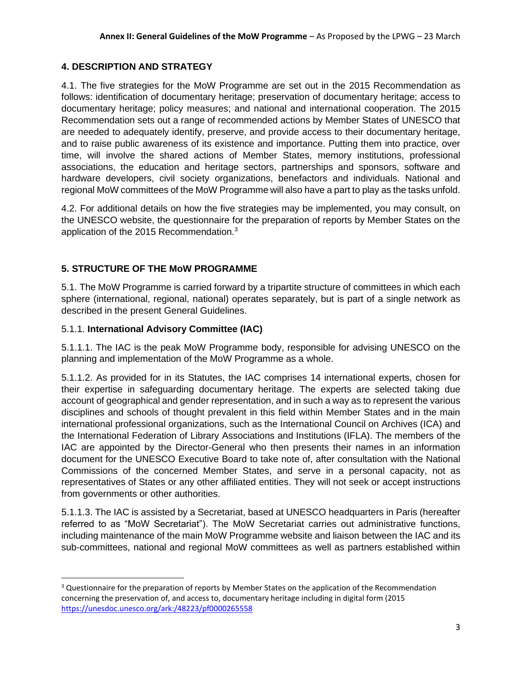# **4. DESCRIPTION AND STRATEGY**

4.1. The five strategies for the MoW Programme are set out in the 2015 Recommendation as follows: identification of documentary heritage; preservation of documentary heritage; access to documentary heritage; policy measures; and national and international cooperation. The 2015 Recommendation sets out a range of recommended actions by Member States of UNESCO that are needed to adequately identify, preserve, and provide access to their documentary heritage, and to raise public awareness of its existence and importance. Putting them into practice, over time, will involve the shared actions of Member States, memory institutions, professional associations, the education and heritage sectors, partnerships and sponsors, software and hardware developers, civil society organizations, benefactors and individuals. National and regional MoW committees of the MoW Programme will also have a part to play as the tasks unfold.

4.2. For additional details on how the five strategies may be implemented, you may consult, on the UNESCO website, the questionnaire for the preparation of reports by Member States on the application of the 2015 Recommendation.<sup>3</sup>

# **5. STRUCTURE OF THE MoW PROGRAMME**

5.1. The MoW Programme is carried forward by a tripartite structure of committees in which each sphere (international, regional, national) operates separately, but is part of a single network as described in the present General Guidelines.

### 5.1.1. **International Advisory Committee (IAC)**

5.1.1.1. The IAC is the peak MoW Programme body, responsible for advising UNESCO on the planning and implementation of the MoW Programme as a whole.

5.1.1.2. As provided for in its Statutes, the IAC comprises 14 international experts, chosen for their expertise in safeguarding documentary heritage. The experts are selected taking due account of geographical and gender representation, and in such a way as to represent the various disciplines and schools of thought prevalent in this field within Member States and in the main international professional organizations, such as the International Council on Archives (ICA) and the International Federation of Library Associations and Institutions (IFLA). The members of the IAC are appointed by the Director-General who then presents their names in an information document for the UNESCO Executive Board to take note of, after consultation with the National Commissions of the concerned Member States, and serve in a personal capacity, not as representatives of States or any other affiliated entities. They will not seek or accept instructions from governments or other authorities.

5.1.1.3. The IAC is assisted by a Secretariat, based at UNESCO headquarters in Paris (hereafter referred to as "MoW Secretariat"). The MoW Secretariat carries out administrative functions, including maintenance of the main MoW Programme website and liaison between the IAC and its sub-committees, national and regional MoW committees as well as partners established within

<sup>&</sup>lt;sup>3</sup> Questionnaire for the preparation of reports by Member States on the application of the Recommendation concerning the preservation of, and access to, documentary heritage including in digital form (2015 <https://unesdoc.unesco.org/ark:/48223/pf0000265558>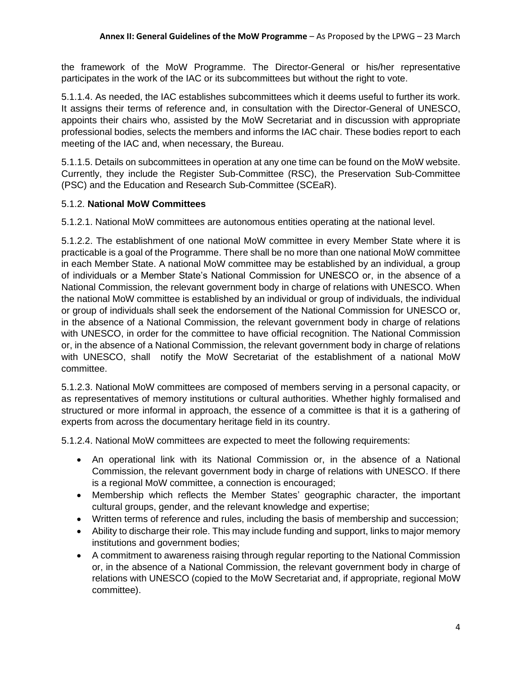the framework of the MoW Programme. The Director-General or his/her representative participates in the work of the IAC or its subcommittees but without the right to vote.

5.1.1.4. As needed, the IAC establishes subcommittees which it deems useful to further its work. It assigns their terms of reference and, in consultation with the Director-General of UNESCO, appoints their chairs who, assisted by the MoW Secretariat and in discussion with appropriate professional bodies, selects the members and informs the IAC chair. These bodies report to each meeting of the IAC and, when necessary, the Bureau.

5.1.1.5. Details on subcommittees in operation at any one time can be found on the MoW website. Currently, they include the Register Sub-Committee (RSC), the Preservation Sub-Committee (PSC) and the Education and Research Sub-Committee (SCEaR).

### 5.1.2. **National MoW Committees**

5.1.2.1. National MoW committees are autonomous entities operating at the national level.

5.1.2.2. The establishment of one national MoW committee in every Member State where it is practicable is a goal of the Programme. There shall be no more than one national MoW committee in each Member State. A national MoW committee may be established by an individual, a group of individuals or a Member State's National Commission for UNESCO or, in the absence of a National Commission, the relevant government body in charge of relations with UNESCO. When the national MoW committee is established by an individual or group of individuals, the individual or group of individuals shall seek the endorsement of the National Commission for UNESCO or, in the absence of a National Commission, the relevant government body in charge of relations with UNESCO, in order for the committee to have official recognition. The National Commission or, in the absence of a National Commission, the relevant government body in charge of relations with UNESCO, shall notify the MoW Secretariat of the establishment of a national MoW committee.

5.1.2.3. National MoW committees are composed of members serving in a personal capacity, or as representatives of memory institutions or cultural authorities. Whether highly formalised and structured or more informal in approach, the essence of a committee is that it is a gathering of experts from across the documentary heritage field in its country.

5.1.2.4. National MoW committees are expected to meet the following requirements:

- An operational link with its National Commission or, in the absence of a National Commission, the relevant government body in charge of relations with UNESCO. If there is a regional MoW committee, a connection is encouraged;
- Membership which reflects the Member States' geographic character, the important cultural groups, gender, and the relevant knowledge and expertise;
- Written terms of reference and rules, including the basis of membership and succession;
- Ability to discharge their role. This may include funding and support, links to major memory institutions and government bodies;
- A commitment to awareness raising through regular reporting to the National Commission or, in the absence of a National Commission, the relevant government body in charge of relations with UNESCO (copied to the MoW Secretariat and, if appropriate, regional MoW committee).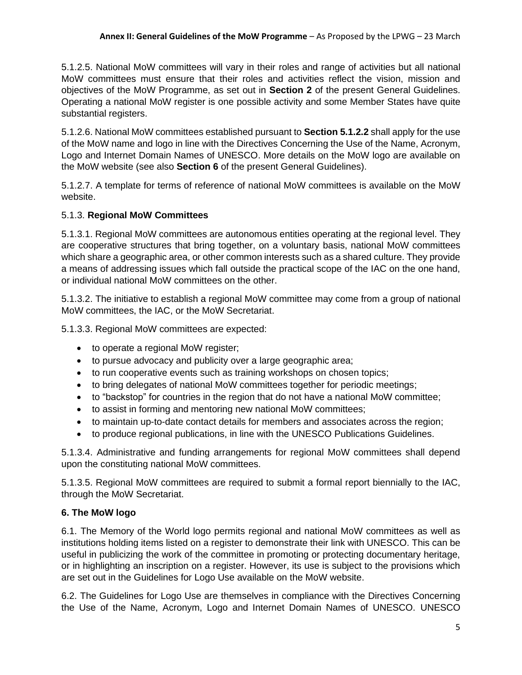5.1.2.5. National MoW committees will vary in their roles and range of activities but all national MoW committees must ensure that their roles and activities reflect the vision, mission and objectives of the MoW Programme, as set out in **Section 2** of the present General Guidelines. Operating a national MoW register is one possible activity and some Member States have quite substantial registers.

5.1.2.6. National MoW committees established pursuant to **Section 5.1.2.2** shall apply for the use of the MoW name and logo in line with the Directives Concerning the Use of the Name, Acronym, Logo and Internet Domain Names of UNESCO. More details on the MoW logo are available on the MoW website (see also **Section 6** of the present General Guidelines).

5.1.2.7. A template for terms of reference of national MoW committees is available on the MoW website.

## 5.1.3. **Regional MoW Committees**

5.1.3.1. Regional MoW committees are autonomous entities operating at the regional level. They are cooperative structures that bring together, on a voluntary basis, national MoW committees which share a geographic area, or other common interests such as a shared culture. They provide a means of addressing issues which fall outside the practical scope of the IAC on the one hand, or individual national MoW committees on the other.

5.1.3.2. The initiative to establish a regional MoW committee may come from a group of national MoW committees, the IAC, or the MoW Secretariat.

5.1.3.3. Regional MoW committees are expected:

- to operate a regional MoW register;
- to pursue advocacy and publicity over a large geographic area;
- to run cooperative events such as training workshops on chosen topics;
- to bring delegates of national MoW committees together for periodic meetings;
- to "backstop" for countries in the region that do not have a national MoW committee;
- to assist in forming and mentoring new national MoW committees;
- to maintain up-to-date contact details for members and associates across the region;
- to produce regional publications, in line with the UNESCO Publications Guidelines.

5.1.3.4. Administrative and funding arrangements for regional MoW committees shall depend upon the constituting national MoW committees.

5.1.3.5. Regional MoW committees are required to submit a formal report biennially to the IAC, through the MoW Secretariat.

# **6. The MoW logo**

6.1. The Memory of the World logo permits regional and national MoW committees as well as institutions holding items listed on a register to demonstrate their link with UNESCO. This can be useful in publicizing the work of the committee in promoting or protecting documentary heritage, or in highlighting an inscription on a register. However, its use is subject to the provisions which are set out in the Guidelines for Logo Use available on the MoW website.

6.2. The Guidelines for Logo Use are themselves in compliance with the Directives Concerning the Use of the Name, Acronym, Logo and Internet Domain Names of UNESCO. UNESCO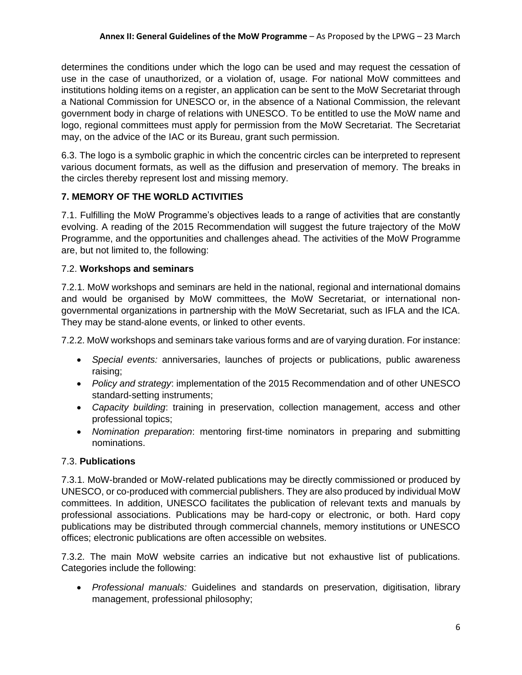determines the conditions under which the logo can be used and may request the cessation of use in the case of unauthorized, or a violation of, usage. For national MoW committees and institutions holding items on a register, an application can be sent to the MoW Secretariat through a National Commission for UNESCO or, in the absence of a National Commission, the relevant government body in charge of relations with UNESCO. To be entitled to use the MoW name and logo, regional committees must apply for permission from the MoW Secretariat. The Secretariat may, on the advice of the IAC or its Bureau, grant such permission.

6.3. The logo is a symbolic graphic in which the concentric circles can be interpreted to represent various document formats, as well as the diffusion and preservation of memory. The breaks in the circles thereby represent lost and missing memory.

# **7. MEMORY OF THE WORLD ACTIVITIES**

7.1. Fulfilling the MoW Programme's objectives leads to a range of activities that are constantly evolving. A reading of the 2015 Recommendation will suggest the future trajectory of the MoW Programme, and the opportunities and challenges ahead. The activities of the MoW Programme are, but not limited to, the following:

# 7.2. **Workshops and seminars**

7.2.1. MoW workshops and seminars are held in the national, regional and international domains and would be organised by MoW committees, the MoW Secretariat, or international nongovernmental organizations in partnership with the MoW Secretariat, such as IFLA and the ICA. They may be stand-alone events, or linked to other events.

7.2.2. MoW workshops and seminars take various forms and are of varying duration. For instance:

- *Special events:* anniversaries, launches of projects or publications, public awareness raising;
- *Policy and strategy*: implementation of the 2015 Recommendation and of other UNESCO standard-setting instruments;
- *Capacity building*: training in preservation, collection management, access and other professional topics;
- *Nomination preparation*: mentoring first-time nominators in preparing and submitting nominations.

## 7.3. **Publications**

7.3.1. MoW-branded or MoW-related publications may be directly commissioned or produced by UNESCO, or co-produced with commercial publishers. They are also produced by individual MoW committees. In addition, UNESCO facilitates the publication of relevant texts and manuals by professional associations. Publications may be hard-copy or electronic, or both. Hard copy publications may be distributed through commercial channels, memory institutions or UNESCO offices; electronic publications are often accessible on websites.

7.3.2. The main MoW website carries an indicative but not exhaustive list of publications. Categories include the following:

• *Professional manuals:* Guidelines and standards on preservation, digitisation, library management, professional philosophy;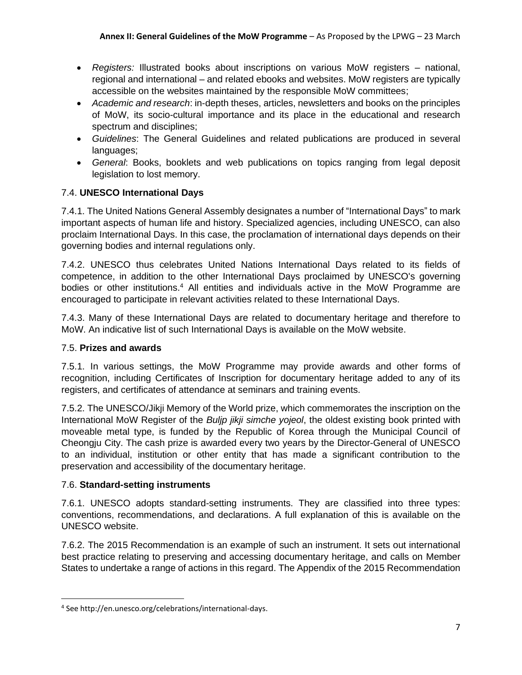- *Registers:* Illustrated books about inscriptions on various MoW registers national, regional and international – and related ebooks and websites. MoW registers are typically accessible on the websites maintained by the responsible MoW committees;
- *Academic and research*: in-depth theses, articles, newsletters and books on the principles of MoW, its socio-cultural importance and its place in the educational and research spectrum and disciplines;
- *Guidelines*: The General Guidelines and related publications are produced in several languages;
- *General*: Books, booklets and web publications on topics ranging from legal deposit legislation to lost memory.

# 7.4. **UNESCO International Days**

7.4.1. The United Nations General Assembly designates a number of "International Days" to mark important aspects of human life and history. Specialized agencies, including UNESCO, can also proclaim International Days. In this case, the proclamation of international days depends on their governing bodies and internal regulations only.

7.4.2. UNESCO thus celebrates United Nations International Days related to its fields of competence, in addition to the other International Days proclaimed by UNESCO's governing bodies or other institutions.<sup>4</sup> All entities and individuals active in the MoW Programme are encouraged to participate in relevant activities related to these International Days.

7.4.3. Many of these International Days are related to documentary heritage and therefore to MoW. An indicative list of such International Days is available on the MoW website.

## 7.5. **Prizes and awards**

7.5.1. In various settings, the MoW Programme may provide awards and other forms of recognition, including Certificates of Inscription for documentary heritage added to any of its registers, and certificates of attendance at seminars and training events.

7.5.2. The UNESCO/Jikji Memory of the World prize, which commemorates the inscription on the International MoW Register of the *Buljp jikji simche yojeol*, the oldest existing book printed with moveable metal type, is funded by the Republic of Korea through the Municipal Council of Cheongju City. The cash prize is awarded every two years by the Director-General of UNESCO to an individual, institution or other entity that has made a significant contribution to the preservation and accessibility of the documentary heritage.

## 7.6. **Standard-setting instruments**

7.6.1. UNESCO adopts standard-setting instruments. They are classified into three types: conventions, recommendations, and declarations. A full explanation of this is available on the UNESCO website.

7.6.2. The 2015 Recommendation is an example of such an instrument. It sets out international best practice relating to preserving and accessing documentary heritage, and calls on Member States to undertake a range of actions in this regard. The Appendix of the 2015 Recommendation

<sup>4</sup> See http://en.unesco.org/celebrations/international-days.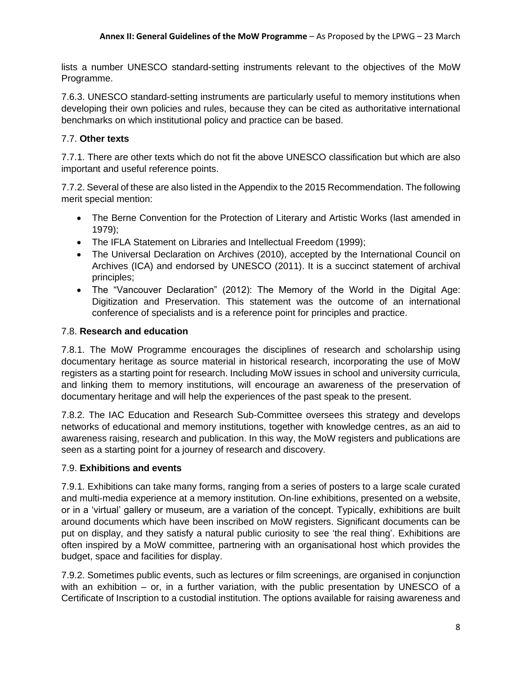lists a number UNESCO standard-setting instruments relevant to the objectives of the MoW Programme.

7.6.3. UNESCO standard-setting instruments are particularly useful to memory institutions when developing their own policies and rules, because they can be cited as authoritative international benchmarks on which institutional policy and practice can be based.

# 7.7. **Other texts**

7.7.1. There are other texts which do not fit the above UNESCO classification but which are also important and useful reference points.

7.7.2. Several of these are also listed in the Appendix to the 2015 Recommendation. The following merit special mention:

- The Berne Convention for the Protection of Literary and Artistic Works (last amended in 1979);
- The IFLA Statement on Libraries and Intellectual Freedom (1999);
- The Universal Declaration on Archives (2010), accepted by the International Council on Archives (ICA) and endorsed by UNESCO (2011). It is a succinct statement of archival principles;
- The "Vancouver Declaration" (2012): The Memory of the World in the Digital Age: Digitization and Preservation. This statement was the outcome of an international conference of specialists and is a reference point for principles and practice.

## 7.8. **Research and education**

7.8.1. The MoW Programme encourages the disciplines of research and scholarship using documentary heritage as source material in historical research, incorporating the use of MoW registers as a starting point for research. Including MoW issues in school and university curricula, and linking them to memory institutions, will encourage an awareness of the preservation of documentary heritage and will help the experiences of the past speak to the present.

7.8.2. The IAC Education and Research Sub-Committee oversees this strategy and develops networks of educational and memory institutions, together with knowledge centres, as an aid to awareness raising, research and publication. In this way, the MoW registers and publications are seen as a starting point for a journey of research and discovery.

## 7.9. **Exhibitions and events**

7.9.1. Exhibitions can take many forms, ranging from a series of posters to a large scale curated and multi-media experience at a memory institution. On-line exhibitions, presented on a website, or in a 'virtual' gallery or museum, are a variation of the concept. Typically, exhibitions are built around documents which have been inscribed on MoW registers. Significant documents can be put on display, and they satisfy a natural public curiosity to see 'the real thing'. Exhibitions are often inspired by a MoW committee, partnering with an organisational host which provides the budget, space and facilities for display.

7.9.2. Sometimes public events, such as lectures or film screenings, are organised in conjunction with an exhibition – or, in a further variation, with the public presentation by UNESCO of a Certificate of Inscription to a custodial institution. The options available for raising awareness and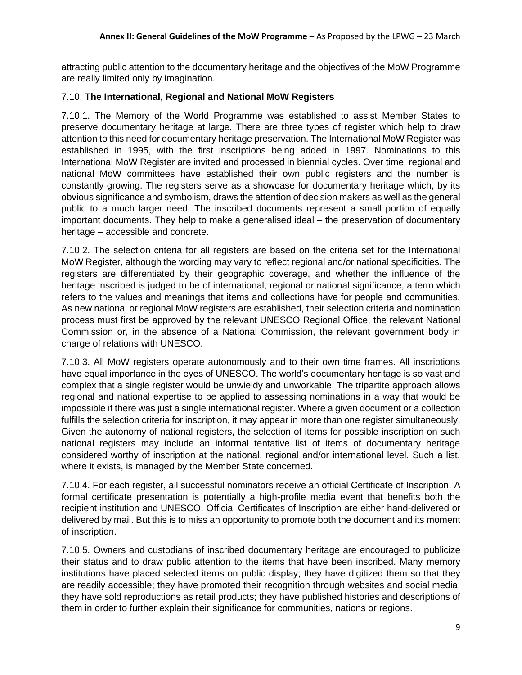attracting public attention to the documentary heritage and the objectives of the MoW Programme are really limited only by imagination.

#### 7.10. **The International, Regional and National MoW Registers**

7.10.1. The Memory of the World Programme was established to assist Member States to preserve documentary heritage at large. There are three types of register which help to draw attention to this need for documentary heritage preservation. The International MoW Register was established in 1995, with the first inscriptions being added in 1997. Nominations to this International MoW Register are invited and processed in biennial cycles. Over time, regional and national MoW committees have established their own public registers and the number is constantly growing. The registers serve as a showcase for documentary heritage which, by its obvious significance and symbolism, draws the attention of decision makers as well as the general public to a much larger need. The inscribed documents represent a small portion of equally important documents. They help to make a generalised ideal – the preservation of documentary heritage – accessible and concrete.

7.10.2. The selection criteria for all registers are based on the criteria set for the International MoW Register, although the wording may vary to reflect regional and/or national specificities. The registers are differentiated by their geographic coverage, and whether the influence of the heritage inscribed is judged to be of international, regional or national significance, a term which refers to the values and meanings that items and collections have for people and communities. As new national or regional MoW registers are established, their selection criteria and nomination process must first be approved by the relevant UNESCO Regional Office, the relevant National Commission or, in the absence of a National Commission, the relevant government body in charge of relations with UNESCO.

7.10.3. All MoW registers operate autonomously and to their own time frames. All inscriptions have equal importance in the eyes of UNESCO. The world's documentary heritage is so vast and complex that a single register would be unwieldy and unworkable. The tripartite approach allows regional and national expertise to be applied to assessing nominations in a way that would be impossible if there was just a single international register. Where a given document or a collection fulfills the selection criteria for inscription, it may appear in more than one register simultaneously. Given the autonomy of national registers, the selection of items for possible inscription on such national registers may include an informal tentative list of items of documentary heritage considered worthy of inscription at the national, regional and/or international level. Such a list, where it exists, is managed by the Member State concerned.

7.10.4. For each register, all successful nominators receive an official Certificate of Inscription. A formal certificate presentation is potentially a high-profile media event that benefits both the recipient institution and UNESCO. Official Certificates of Inscription are either hand-delivered or delivered by mail. But this is to miss an opportunity to promote both the document and its moment of inscription.

7.10.5. Owners and custodians of inscribed documentary heritage are encouraged to publicize their status and to draw public attention to the items that have been inscribed. Many memory institutions have placed selected items on public display; they have digitized them so that they are readily accessible; they have promoted their recognition through websites and social media; they have sold reproductions as retail products; they have published histories and descriptions of them in order to further explain their significance for communities, nations or regions.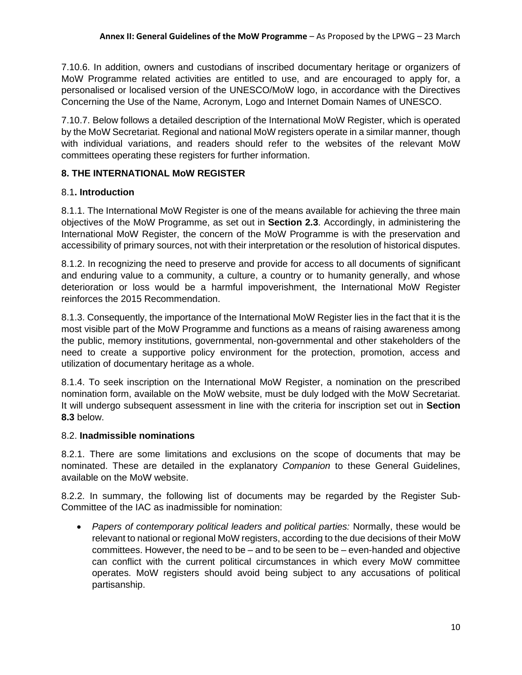7.10.6. In addition, owners and custodians of inscribed documentary heritage or organizers of MoW Programme related activities are entitled to use, and are encouraged to apply for, a personalised or localised version of the UNESCO/MoW logo, in accordance with the Directives Concerning the Use of the Name, Acronym, Logo and Internet Domain Names of UNESCO.

7.10.7. Below follows a detailed description of the International MoW Register, which is operated by the MoW Secretariat. Regional and national MoW registers operate in a similar manner, though with individual variations, and readers should refer to the websites of the relevant MoW committees operating these registers for further information.

# **8. THE INTERNATIONAL MoW REGISTER**

## 8.1**. Introduction**

8.1.1. The International MoW Register is one of the means available for achieving the three main objectives of the MoW Programme, as set out in **Section 2.3**. Accordingly, in administering the International MoW Register, the concern of the MoW Programme is with the preservation and accessibility of primary sources, not with their interpretation or the resolution of historical disputes.

8.1.2. In recognizing the need to preserve and provide for access to all documents of significant and enduring value to a community, a culture, a country or to humanity generally, and whose deterioration or loss would be a harmful impoverishment, the International MoW Register reinforces the 2015 Recommendation.

8.1.3. Consequently, the importance of the International MoW Register lies in the fact that it is the most visible part of the MoW Programme and functions as a means of raising awareness among the public, memory institutions, governmental, non-governmental and other stakeholders of the need to create a supportive policy environment for the protection, promotion, access and utilization of documentary heritage as a whole.

8.1.4. To seek inscription on the International MoW Register, a nomination on the prescribed nomination form, available on the MoW website, must be duly lodged with the MoW Secretariat. It will undergo subsequent assessment in line with the criteria for inscription set out in **Section 8.3** below.

## 8.2. **Inadmissible nominations**

8.2.1. There are some limitations and exclusions on the scope of documents that may be nominated. These are detailed in the explanatory *Companion* to these General Guidelines, available on the MoW website.

8.2.2. In summary, the following list of documents may be regarded by the Register Sub-Committee of the IAC as inadmissible for nomination:

• *Papers of contemporary political leaders and political parties:* Normally, these would be relevant to national or regional MoW registers, according to the due decisions of their MoW committees. However, the need to be  $-$  and to be seen to be  $-$  even-handed and objective can conflict with the current political circumstances in which every MoW committee operates. MoW registers should avoid being subject to any accusations of political partisanship.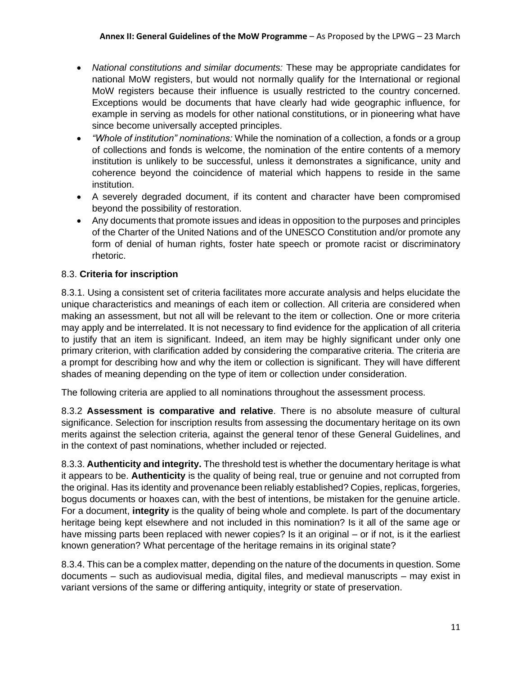- *National constitutions and similar documents:* These may be appropriate candidates for national MoW registers, but would not normally qualify for the International or regional MoW registers because their influence is usually restricted to the country concerned. Exceptions would be documents that have clearly had wide geographic influence, for example in serving as models for other national constitutions, or in pioneering what have since become universally accepted principles.
- *"Whole of institution" nominations:* While the nomination of a collection, a fonds or a group of collections and fonds is welcome, the nomination of the entire contents of a memory institution is unlikely to be successful, unless it demonstrates a significance, unity and coherence beyond the coincidence of material which happens to reside in the same institution.
- A severely degraded document, if its content and character have been compromised beyond the possibility of restoration.
- Any documents that promote issues and ideas in opposition to the purposes and principles of the Charter of the United Nations and of the UNESCO Constitution and/or promote any form of denial of human rights, foster hate speech or promote racist or discriminatory rhetoric.

# 8.3. **Criteria for inscription**

8.3.1. Using a consistent set of criteria facilitates more accurate analysis and helps elucidate the unique characteristics and meanings of each item or collection. All criteria are considered when making an assessment, but not all will be relevant to the item or collection. One or more criteria may apply and be interrelated. It is not necessary to find evidence for the application of all criteria to justify that an item is significant. Indeed, an item may be highly significant under only one primary criterion, with clarification added by considering the comparative criteria. The criteria are a prompt for describing how and why the item or collection is significant. They will have different shades of meaning depending on the type of item or collection under consideration.

The following criteria are applied to all nominations throughout the assessment process.

8.3.2 **Assessment is comparative and relative**. There is no absolute measure of cultural significance. Selection for inscription results from assessing the documentary heritage on its own merits against the selection criteria, against the general tenor of these General Guidelines, and in the context of past nominations, whether included or rejected.

8.3.3. **Authenticity and integrity.** The threshold test is whether the documentary heritage is what it appears to be. **Authenticity** is the quality of being real, true or genuine and not corrupted from the original. Has its identity and provenance been reliably established? Copies, replicas, forgeries, bogus documents or hoaxes can, with the best of intentions, be mistaken for the genuine article. For a document, **integrity** is the quality of being whole and complete. Is part of the documentary heritage being kept elsewhere and not included in this nomination? Is it all of the same age or have missing parts been replaced with newer copies? Is it an original – or if not, is it the earliest known generation? What percentage of the heritage remains in its original state?

8.3.4. This can be a complex matter, depending on the nature of the documents in question. Some documents – such as audiovisual media, digital files, and medieval manuscripts – may exist in variant versions of the same or differing antiquity, integrity or state of preservation.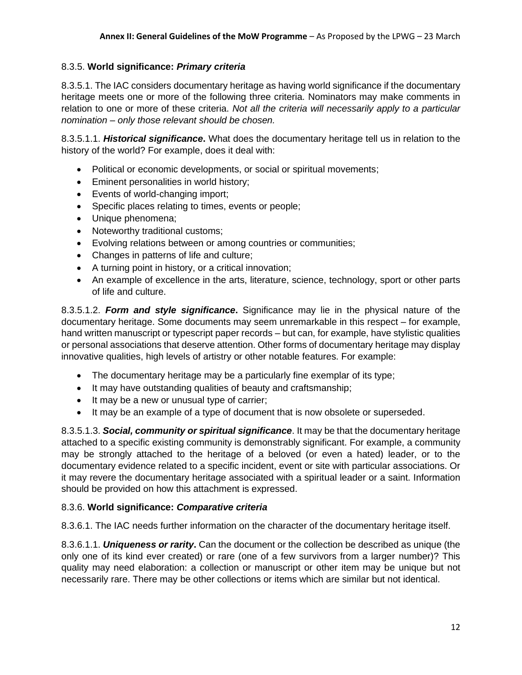## 8.3.5. **World significance:** *Primary criteria*

8.3.5.1. The IAC considers documentary heritage as having world significance if the documentary heritage meets one or more of the following three criteria. Nominators may make comments in relation to one or more of these criteria. *Not all the criteria will necessarily apply to a particular nomination – only those relevant should be chosen.*

8.3.5.1.1. *Historical significance***.** What does the documentary heritage tell us in relation to the history of the world? For example, does it deal with:

- Political or economic developments, or social or spiritual movements;
- Eminent personalities in world history;
- Events of world-changing import;
- Specific places relating to times, events or people;
- Unique phenomena;
- Noteworthy traditional customs;
- Evolving relations between or among countries or communities;
- Changes in patterns of life and culture;
- A turning point in history, or a critical innovation;
- An example of excellence in the arts, literature, science, technology, sport or other parts of life and culture.

8.3.5.1.2. *Form and style significance***.** Significance may lie in the physical nature of the documentary heritage. Some documents may seem unremarkable in this respect – for example, hand written manuscript or typescript paper records – but can, for example, have stylistic qualities or personal associations that deserve attention. Other forms of documentary heritage may display innovative qualities, high levels of artistry or other notable features. For example:

- The documentary heritage may be a particularly fine exemplar of its type;
- It may have outstanding qualities of beauty and craftsmanship;
- It may be a new or unusual type of carrier;
- It may be an example of a type of document that is now obsolete or superseded.

8.3.5.1.3. *Social, community or spiritual significance*. It may be that the documentary heritage attached to a specific existing community is demonstrably significant. For example, a community may be strongly attached to the heritage of a beloved (or even a hated) leader, or to the documentary evidence related to a specific incident, event or site with particular associations. Or it may revere the documentary heritage associated with a spiritual leader or a saint. Information should be provided on how this attachment is expressed.

### 8.3.6. **World significance:** *Comparative criteria*

8.3.6.1. The IAC needs further information on the character of the documentary heritage itself.

8.3.6.1.1. *Uniqueness or rarity***.** Can the document or the collection be described as unique (the only one of its kind ever created) or rare (one of a few survivors from a larger number)? This quality may need elaboration: a collection or manuscript or other item may be unique but not necessarily rare. There may be other collections or items which are similar but not identical.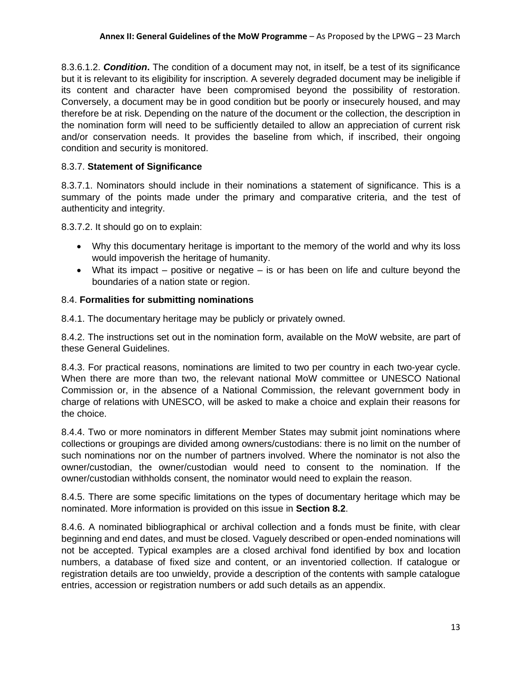8.3.6.1.2. *Condition***.** The condition of a document may not, in itself, be a test of its significance but it is relevant to its eligibility for inscription. A severely degraded document may be ineligible if its content and character have been compromised beyond the possibility of restoration. Conversely, a document may be in good condition but be poorly or insecurely housed, and may therefore be at risk. Depending on the nature of the document or the collection, the description in the nomination form will need to be sufficiently detailed to allow an appreciation of current risk and/or conservation needs. It provides the baseline from which, if inscribed, their ongoing condition and security is monitored.

## 8.3.7. **Statement of Significance**

8.3.7.1. Nominators should include in their nominations a statement of significance. This is a summary of the points made under the primary and comparative criteria, and the test of authenticity and integrity.

8.3.7.2. It should go on to explain:

- Why this documentary heritage is important to the memory of the world and why its loss would impoverish the heritage of humanity.
- What its impact positive or negative is or has been on life and culture beyond the boundaries of a nation state or region.

### 8.4. **Formalities for submitting nominations**

8.4.1. The documentary heritage may be publicly or privately owned.

8.4.2. The instructions set out in the nomination form, available on the MoW website, are part of these General Guidelines.

8.4.3. For practical reasons, nominations are limited to two per country in each two-year cycle. When there are more than two, the relevant national MoW committee or UNESCO National Commission or, in the absence of a National Commission, the relevant government body in charge of relations with UNESCO, will be asked to make a choice and explain their reasons for the choice.

8.4.4. Two or more nominators in different Member States may submit joint nominations where collections or groupings are divided among owners/custodians: there is no limit on the number of such nominations nor on the number of partners involved. Where the nominator is not also the owner/custodian, the owner/custodian would need to consent to the nomination. If the owner/custodian withholds consent, the nominator would need to explain the reason.

8.4.5. There are some specific limitations on the types of documentary heritage which may be nominated. More information is provided on this issue in **Section 8.2**.

8.4.6. A nominated bibliographical or archival collection and a fonds must be finite, with clear beginning and end dates, and must be closed. Vaguely described or open-ended nominations will not be accepted. Typical examples are a closed archival fond identified by box and location numbers, a database of fixed size and content, or an inventoried collection. If catalogue or registration details are too unwieldy, provide a description of the contents with sample catalogue entries, accession or registration numbers or add such details as an appendix.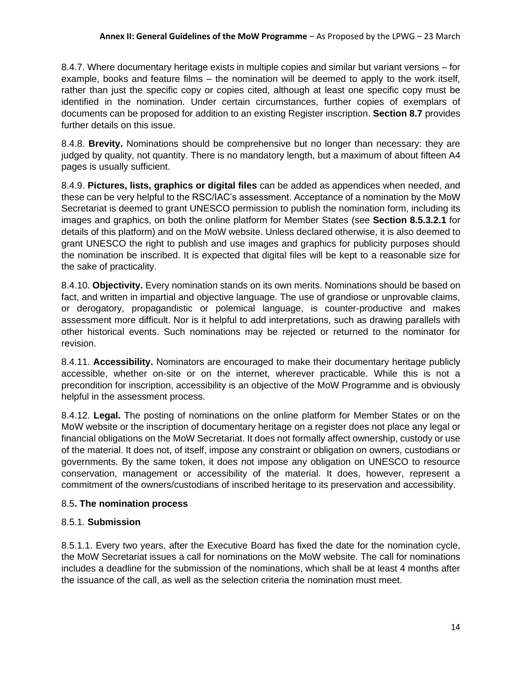8.4.7. Where documentary heritage exists in multiple copies and similar but variant versions – for example, books and feature films – the nomination will be deemed to apply to the work itself, rather than just the specific copy or copies cited, although at least one specific copy must be identified in the nomination. Under certain circumstances, further copies of exemplars of documents can be proposed for addition to an existing Register inscription. **Section 8.7** provides further details on this issue.

8.4.8. **Brevity.** Nominations should be comprehensive but no longer than necessary: they are judged by quality, not quantity. There is no mandatory length, but a maximum of about fifteen A4 pages is usually sufficient.

8.4.9. **Pictures, lists, graphics or digital files** can be added as appendices when needed, and these can be very helpful to the RSC/IAC's assessment. Acceptance of a nomination by the MoW Secretariat is deemed to grant UNESCO permission to publish the nomination form, including its images and graphics, on both the online platform for Member States (see **Section 8.5.3.2.1** for details of this platform) and on the MoW website. Unless declared otherwise, it is also deemed to grant UNESCO the right to publish and use images and graphics for publicity purposes should the nomination be inscribed. It is expected that digital files will be kept to a reasonable size for the sake of practicality.

8.4.10. **Objectivity.** Every nomination stands on its own merits. Nominations should be based on fact, and written in impartial and objective language. The use of grandiose or unprovable claims, or derogatory, propagandistic or polemical language, is counter-productive and makes assessment more difficult. Nor is it helpful to add interpretations, such as drawing parallels with other historical events. Such nominations may be rejected or returned to the nominator for revision.

8.4.11. **Accessibility.** Nominators are encouraged to make their documentary heritage publicly accessible, whether on-site or on the internet, wherever practicable. While this is not a precondition for inscription, accessibility is an objective of the MoW Programme and is obviously helpful in the assessment process.

8.4.12. **Legal.** The posting of nominations on the online platform for Member States or on the MoW website or the inscription of documentary heritage on a register does not place any legal or financial obligations on the MoW Secretariat. It does not formally affect ownership, custody or use of the material. It does not, of itself, impose any constraint or obligation on owners, custodians or governments. By the same token, it does not impose any obligation on UNESCO to resource conservation, management or accessibility of the material. It does, however, represent a commitment of the owners/custodians of inscribed heritage to its preservation and accessibility.

## 8.5**. The nomination process**

## 8.5.1. **Submission**

8.5.1.1. Every two years, after the Executive Board has fixed the date for the nomination cycle, the MoW Secretariat issues a call for nominations on the MoW website. The call for nominations includes a deadline for the submission of the nominations, which shall be at least 4 months after the issuance of the call, as well as the selection criteria the nomination must meet.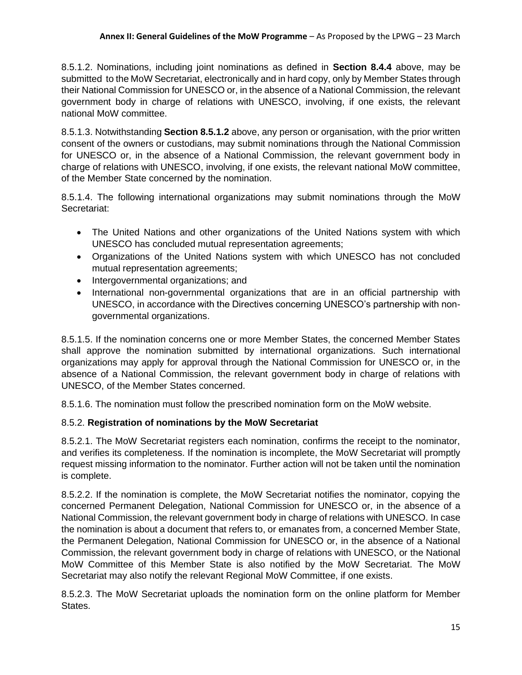8.5.1.2. Nominations, including joint nominations as defined in **Section 8.4.4** above, may be submitted to the MoW Secretariat, electronically and in hard copy, only by Member States through their National Commission for UNESCO or, in the absence of a National Commission, the relevant government body in charge of relations with UNESCO, involving, if one exists, the relevant national MoW committee.

8.5.1.3. Notwithstanding **Section 8.5.1.2** above, any person or organisation, with the prior written consent of the owners or custodians, may submit nominations through the National Commission for UNESCO or, in the absence of a National Commission, the relevant government body in charge of relations with UNESCO, involving, if one exists, the relevant national MoW committee, of the Member State concerned by the nomination.

8.5.1.4. The following international organizations may submit nominations through the MoW Secretariat:

- The United Nations and other organizations of the United Nations system with which UNESCO has concluded mutual representation agreements;
- Organizations of the United Nations system with which UNESCO has not concluded mutual representation agreements;
- Intergovernmental organizations; and
- International non-governmental organizations that are in an official partnership with UNESCO, in accordance with the Directives concerning UNESCO's partnership with nongovernmental organizations.

8.5.1.5. If the nomination concerns one or more Member States, the concerned Member States shall approve the nomination submitted by international organizations. Such international organizations may apply for approval through the National Commission for UNESCO or, in the absence of a National Commission, the relevant government body in charge of relations with UNESCO, of the Member States concerned.

8.5.1.6. The nomination must follow the prescribed nomination form on the MoW website.

## 8.5.2. **Registration of nominations by the MoW Secretariat**

8.5.2.1. The MoW Secretariat registers each nomination, confirms the receipt to the nominator, and verifies its completeness. If the nomination is incomplete, the MoW Secretariat will promptly request missing information to the nominator. Further action will not be taken until the nomination is complete.

8.5.2.2. If the nomination is complete, the MoW Secretariat notifies the nominator, copying the concerned Permanent Delegation, National Commission for UNESCO or, in the absence of a National Commission, the relevant government body in charge of relations with UNESCO. In case the nomination is about a document that refers to, or emanates from, a concerned Member State, the Permanent Delegation, National Commission for UNESCO or, in the absence of a National Commission, the relevant government body in charge of relations with UNESCO, or the National MoW Committee of this Member State is also notified by the MoW Secretariat. The MoW Secretariat may also notify the relevant Regional MoW Committee, if one exists.

8.5.2.3. The MoW Secretariat uploads the nomination form on the online platform for Member States.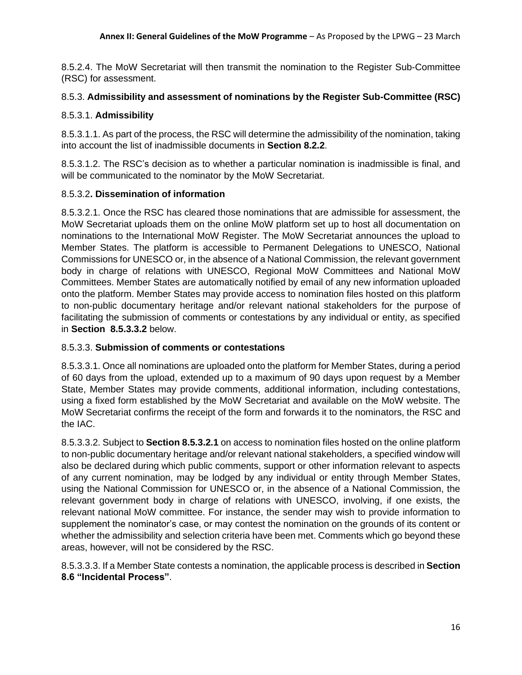8.5.2.4. The MoW Secretariat will then transmit the nomination to the Register Sub-Committee (RSC) for assessment.

### 8.5.3. **Admissibility and assessment of nominations by the Register Sub-Committee (RSC)**

### 8.5.3.1. **Admissibility**

8.5.3.1.1. As part of the process, the RSC will determine the admissibility of the nomination, taking into account the list of inadmissible documents in **Section 8.2.2**.

8.5.3.1.2. The RSC's decision as to whether a particular nomination is inadmissible is final, and will be communicated to the nominator by the MoW Secretariat.

### 8.5.3.2**. Dissemination of information**

8.5.3.2.1. Once the RSC has cleared those nominations that are admissible for assessment, the MoW Secretariat uploads them on the online MoW platform set up to host all documentation on nominations to the International MoW Register. The MoW Secretariat announces the upload to Member States. The platform is accessible to Permanent Delegations to UNESCO, National Commissions for UNESCO or, in the absence of a National Commission, the relevant government body in charge of relations with UNESCO, Regional MoW Committees and National MoW Committees. Member States are automatically notified by email of any new information uploaded onto the platform. Member States may provide access to nomination files hosted on this platform to non-public documentary heritage and/or relevant national stakeholders for the purpose of facilitating the submission of comments or contestations by any individual or entity, as specified in **Section 8.5.3.3.2** below.

### 8.5.3.3. **Submission of comments or contestations**

8.5.3.3.1. Once all nominations are uploaded onto the platform for Member States, during a period of 60 days from the upload, extended up to a maximum of 90 days upon request by a Member State, Member States may provide comments, additional information, including contestations, using a fixed form established by the MoW Secretariat and available on the MoW website. The MoW Secretariat confirms the receipt of the form and forwards it to the nominators, the RSC and the IAC.

8.5.3.3.2. Subject to **Section 8.5.3.2.1** on access to nomination files hosted on the online platform to non-public documentary heritage and/or relevant national stakeholders, a specified window will also be declared during which public comments, support or other information relevant to aspects of any current nomination, may be lodged by any individual or entity through Member States, using the National Commission for UNESCO or, in the absence of a National Commission, the relevant government body in charge of relations with UNESCO, involving, if one exists, the relevant national MoW committee. For instance, the sender may wish to provide information to supplement the nominator's case, or may contest the nomination on the grounds of its content or whether the admissibility and selection criteria have been met. Comments which go beyond these areas, however, will not be considered by the RSC.

8.5.3.3.3. If a Member State contests a nomination, the applicable process is described in **Section 8.6 "Incidental Process"**.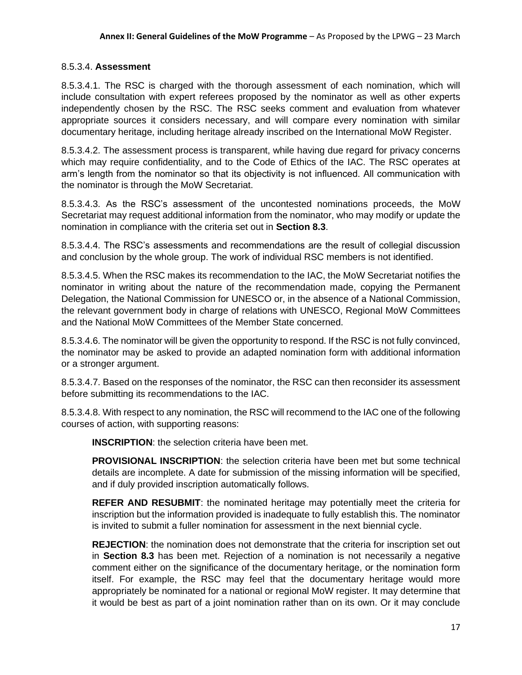### 8.5.3.4. **Assessment**

8.5.3.4.1. The RSC is charged with the thorough assessment of each nomination, which will include consultation with expert referees proposed by the nominator as well as other experts independently chosen by the RSC. The RSC seeks comment and evaluation from whatever appropriate sources it considers necessary, and will compare every nomination with similar documentary heritage, including heritage already inscribed on the International MoW Register.

8.5.3.4.2. The assessment process is transparent, while having due regard for privacy concerns which may require confidentiality, and to the Code of Ethics of the IAC. The RSC operates at arm's length from the nominator so that its objectivity is not influenced. All communication with the nominator is through the MoW Secretariat.

8.5.3.4.3. As the RSC's assessment of the uncontested nominations proceeds, the MoW Secretariat may request additional information from the nominator, who may modify or update the nomination in compliance with the criteria set out in **Section 8.3**.

8.5.3.4.4. The RSC's assessments and recommendations are the result of collegial discussion and conclusion by the whole group. The work of individual RSC members is not identified.

8.5.3.4.5. When the RSC makes its recommendation to the IAC, the MoW Secretariat notifies the nominator in writing about the nature of the recommendation made, copying the Permanent Delegation, the National Commission for UNESCO or, in the absence of a National Commission, the relevant government body in charge of relations with UNESCO, Regional MoW Committees and the National MoW Committees of the Member State concerned.

8.5.3.4.6. The nominator will be given the opportunity to respond. If the RSC is not fully convinced, the nominator may be asked to provide an adapted nomination form with additional information or a stronger argument.

8.5.3.4.7. Based on the responses of the nominator, the RSC can then reconsider its assessment before submitting its recommendations to the IAC.

8.5.3.4.8. With respect to any nomination, the RSC will recommend to the IAC one of the following courses of action, with supporting reasons:

**INSCRIPTION**: the selection criteria have been met.

**PROVISIONAL INSCRIPTION**: the selection criteria have been met but some technical details are incomplete. A date for submission of the missing information will be specified, and if duly provided inscription automatically follows.

**REFER AND RESUBMIT**: the nominated heritage may potentially meet the criteria for inscription but the information provided is inadequate to fully establish this. The nominator is invited to submit a fuller nomination for assessment in the next biennial cycle.

**REJECTION**: the nomination does not demonstrate that the criteria for inscription set out in **Section 8.3** has been met. Rejection of a nomination is not necessarily a negative comment either on the significance of the documentary heritage, or the nomination form itself. For example, the RSC may feel that the documentary heritage would more appropriately be nominated for a national or regional MoW register. It may determine that it would be best as part of a joint nomination rather than on its own. Or it may conclude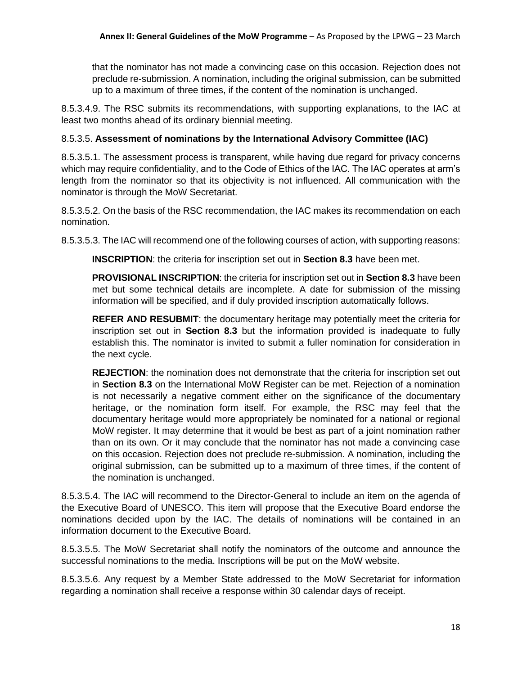that the nominator has not made a convincing case on this occasion. Rejection does not preclude re-submission. A nomination, including the original submission, can be submitted up to a maximum of three times, if the content of the nomination is unchanged.

8.5.3.4.9. The RSC submits its recommendations, with supporting explanations, to the IAC at least two months ahead of its ordinary biennial meeting.

### 8.5.3.5. **Assessment of nominations by the International Advisory Committee (IAC)**

8.5.3.5.1. The assessment process is transparent, while having due regard for privacy concerns which may require confidentiality, and to the Code of Ethics of the IAC. The IAC operates at arm's length from the nominator so that its objectivity is not influenced. All communication with the nominator is through the MoW Secretariat.

8.5.3.5.2. On the basis of the RSC recommendation, the IAC makes its recommendation on each nomination.

8.5.3.5.3. The IAC will recommend one of the following courses of action, with supporting reasons:

**INSCRIPTION**: the criteria for inscription set out in **Section 8.3** have been met.

**PROVISIONAL INSCRIPTION**: the criteria for inscription set out in **Section 8.3** have been met but some technical details are incomplete. A date for submission of the missing information will be specified, and if duly provided inscription automatically follows.

**REFER AND RESUBMIT**: the documentary heritage may potentially meet the criteria for inscription set out in **Section 8.3** but the information provided is inadequate to fully establish this. The nominator is invited to submit a fuller nomination for consideration in the next cycle.

**REJECTION**: the nomination does not demonstrate that the criteria for inscription set out in **Section 8.3** on the International MoW Register can be met. Rejection of a nomination is not necessarily a negative comment either on the significance of the documentary heritage, or the nomination form itself. For example, the RSC may feel that the documentary heritage would more appropriately be nominated for a national or regional MoW register. It may determine that it would be best as part of a joint nomination rather than on its own. Or it may conclude that the nominator has not made a convincing case on this occasion. Rejection does not preclude re-submission. A nomination, including the original submission, can be submitted up to a maximum of three times, if the content of the nomination is unchanged.

8.5.3.5.4. The IAC will recommend to the Director-General to include an item on the agenda of the Executive Board of UNESCO. This item will propose that the Executive Board endorse the nominations decided upon by the IAC. The details of nominations will be contained in an information document to the Executive Board.

8.5.3.5.5. The MoW Secretariat shall notify the nominators of the outcome and announce the successful nominations to the media. Inscriptions will be put on the MoW website.

8.5.3.5.6. Any request by a Member State addressed to the MoW Secretariat for information regarding a nomination shall receive a response within 30 calendar days of receipt.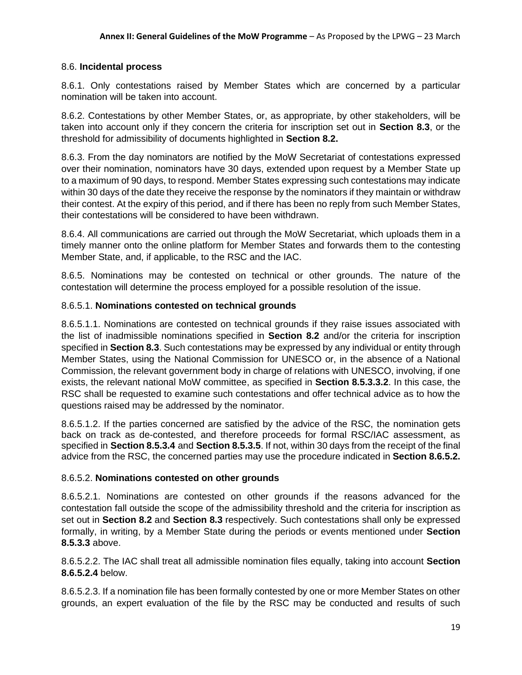#### 8.6. **Incidental process**

8.6.1. Only contestations raised by Member States which are concerned by a particular nomination will be taken into account.

8.6.2. Contestations by other Member States, or, as appropriate, by other stakeholders, will be taken into account only if they concern the criteria for inscription set out in **Section 8.3**, or the threshold for admissibility of documents highlighted in **Section 8.2.**

8.6.3. From the day nominators are notified by the MoW Secretariat of contestations expressed over their nomination, nominators have 30 days, extended upon request by a Member State up to a maximum of 90 days, to respond. Member States expressing such contestations may indicate within 30 days of the date they receive the response by the nominators if they maintain or withdraw their contest. At the expiry of this period, and if there has been no reply from such Member States, their contestations will be considered to have been withdrawn.

8.6.4. All communications are carried out through the MoW Secretariat, which uploads them in a timely manner onto the online platform for Member States and forwards them to the contesting Member State, and, if applicable, to the RSC and the IAC.

8.6.5. Nominations may be contested on technical or other grounds. The nature of the contestation will determine the process employed for a possible resolution of the issue.

### 8.6.5.1. **Nominations contested on technical grounds**

8.6.5.1.1. Nominations are contested on technical grounds if they raise issues associated with the list of inadmissible nominations specified in **Section 8.2** and/or the criteria for inscription specified in **Section 8.3**. Such contestations may be expressed by any individual or entity through Member States, using the National Commission for UNESCO or, in the absence of a National Commission, the relevant government body in charge of relations with UNESCO, involving, if one exists, the relevant national MoW committee, as specified in **Section 8.5.3.3.2**. In this case, the RSC shall be requested to examine such contestations and offer technical advice as to how the questions raised may be addressed by the nominator.

8.6.5.1.2. If the parties concerned are satisfied by the advice of the RSC, the nomination gets back on track as de-contested, and therefore proceeds for formal RSC/IAC assessment, as specified in **Section 8.5.3.4** and **Section 8.5.3.5**. If not, within 30 days from the receipt of the final advice from the RSC, the concerned parties may use the procedure indicated in **Section 8.6.5.2.**

### 8.6.5.2. **Nominations contested on other grounds**

8.6.5.2.1. Nominations are contested on other grounds if the reasons advanced for the contestation fall outside the scope of the admissibility threshold and the criteria for inscription as set out in **Section 8.2** and **Section 8.3** respectively. Such contestations shall only be expressed formally, in writing, by a Member State during the periods or events mentioned under **Section 8.5.3.3** above.

8.6.5.2.2. The IAC shall treat all admissible nomination files equally, taking into account **Section 8.6.5.2.4** below.

8.6.5.2.3. If a nomination file has been formally contested by one or more Member States on other grounds, an expert evaluation of the file by the RSC may be conducted and results of such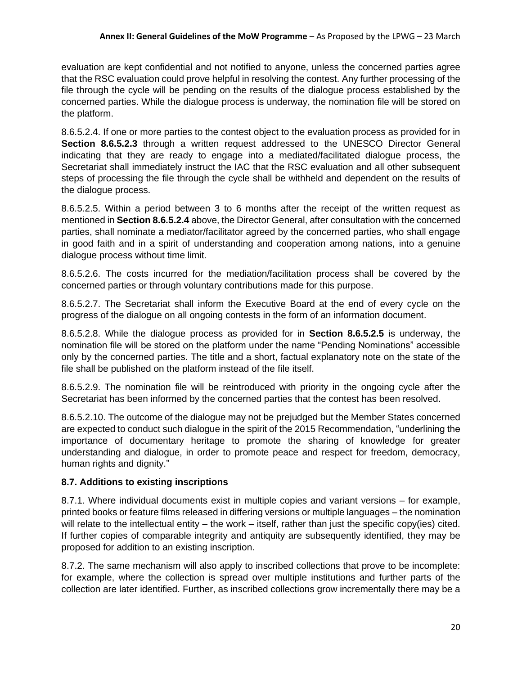evaluation are kept confidential and not notified to anyone, unless the concerned parties agree that the RSC evaluation could prove helpful in resolving the contest. Any further processing of the file through the cycle will be pending on the results of the dialogue process established by the concerned parties. While the dialogue process is underway, the nomination file will be stored on the platform.

8.6.5.2.4. If one or more parties to the contest object to the evaluation process as provided for in **Section 8.6.5.2.3** through a written request addressed to the UNESCO Director General indicating that they are ready to engage into a mediated/facilitated dialogue process, the Secretariat shall immediately instruct the IAC that the RSC evaluation and all other subsequent steps of processing the file through the cycle shall be withheld and dependent on the results of the dialogue process.

8.6.5.2.5. Within a period between 3 to 6 months after the receipt of the written request as mentioned in **Section 8.6.5.2.4** above, the Director General, after consultation with the concerned parties, shall nominate a mediator/facilitator agreed by the concerned parties, who shall engage in good faith and in a spirit of understanding and cooperation among nations, into a genuine dialogue process without time limit.

8.6.5.2.6. The costs incurred for the mediation/facilitation process shall be covered by the concerned parties or through voluntary contributions made for this purpose.

8.6.5.2.7. The Secretariat shall inform the Executive Board at the end of every cycle on the progress of the dialogue on all ongoing contests in the form of an information document.

8.6.5.2.8. While the dialogue process as provided for in **Section 8.6.5.2.5** is underway, the nomination file will be stored on the platform under the name "Pending Nominations" accessible only by the concerned parties. The title and a short, factual explanatory note on the state of the file shall be published on the platform instead of the file itself.

8.6.5.2.9. The nomination file will be reintroduced with priority in the ongoing cycle after the Secretariat has been informed by the concerned parties that the contest has been resolved.

8.6.5.2.10. The outcome of the dialogue may not be prejudged but the Member States concerned are expected to conduct such dialogue in the spirit of the 2015 Recommendation, "underlining the importance of documentary heritage to promote the sharing of knowledge for greater understanding and dialogue, in order to promote peace and respect for freedom, democracy, human rights and dignity."

## **8.7. Additions to existing inscriptions**

8.7.1. Where individual documents exist in multiple copies and variant versions – for example, printed books or feature films released in differing versions or multiple languages – the nomination will relate to the intellectual entity – the work – itself, rather than just the specific copy(ies) cited. If further copies of comparable integrity and antiquity are subsequently identified, they may be proposed for addition to an existing inscription.

8.7.2. The same mechanism will also apply to inscribed collections that prove to be incomplete: for example, where the collection is spread over multiple institutions and further parts of the collection are later identified. Further, as inscribed collections grow incrementally there may be a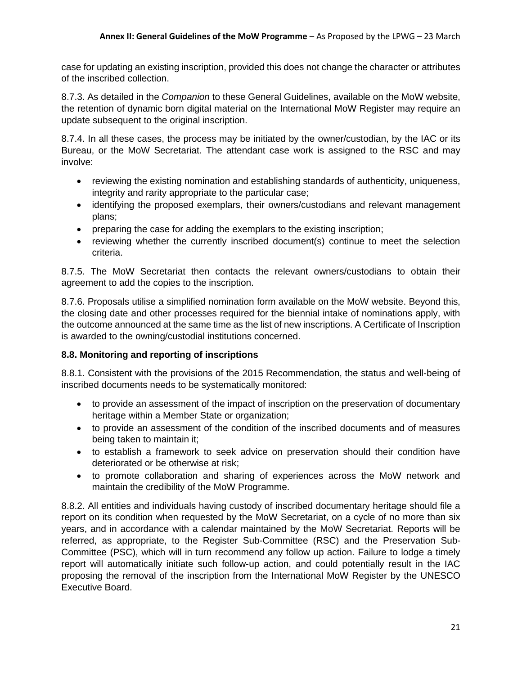case for updating an existing inscription, provided this does not change the character or attributes of the inscribed collection.

8.7.3. As detailed in the *Companion* to these General Guidelines, available on the MoW website, the retention of dynamic born digital material on the International MoW Register may require an update subsequent to the original inscription.

8.7.4. In all these cases, the process may be initiated by the owner/custodian, by the IAC or its Bureau, or the MoW Secretariat. The attendant case work is assigned to the RSC and may involve:

- reviewing the existing nomination and establishing standards of authenticity, uniqueness, integrity and rarity appropriate to the particular case;
- identifying the proposed exemplars, their owners/custodians and relevant management plans;
- preparing the case for adding the exemplars to the existing inscription;
- reviewing whether the currently inscribed document(s) continue to meet the selection criteria.

8.7.5. The MoW Secretariat then contacts the relevant owners/custodians to obtain their agreement to add the copies to the inscription.

8.7.6. Proposals utilise a simplified nomination form available on the MoW website. Beyond this, the closing date and other processes required for the biennial intake of nominations apply, with the outcome announced at the same time as the list of new inscriptions. A Certificate of Inscription is awarded to the owning/custodial institutions concerned.

## **8.8. Monitoring and reporting of inscriptions**

8.8.1. Consistent with the provisions of the 2015 Recommendation, the status and well-being of inscribed documents needs to be systematically monitored:

- to provide an assessment of the impact of inscription on the preservation of documentary heritage within a Member State or organization;
- to provide an assessment of the condition of the inscribed documents and of measures being taken to maintain it;
- to establish a framework to seek advice on preservation should their condition have deteriorated or be otherwise at risk;
- to promote collaboration and sharing of experiences across the MoW network and maintain the credibility of the MoW Programme.

8.8.2. All entities and individuals having custody of inscribed documentary heritage should file a report on its condition when requested by the MoW Secretariat, on a cycle of no more than six years, and in accordance with a calendar maintained by the MoW Secretariat. Reports will be referred, as appropriate, to the Register Sub-Committee (RSC) and the Preservation Sub-Committee (PSC), which will in turn recommend any follow up action. Failure to lodge a timely report will automatically initiate such follow-up action, and could potentially result in the IAC proposing the removal of the inscription from the International MoW Register by the UNESCO Executive Board.